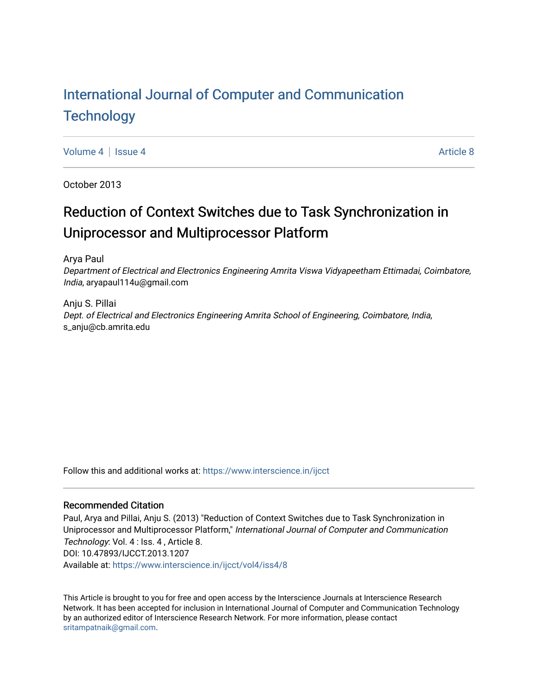# [International Journal of Computer and Communication](https://www.interscience.in/ijcct)  **Technology**

[Volume 4](https://www.interscience.in/ijcct/vol4) | [Issue 4](https://www.interscience.in/ijcct/vol4/iss4) [Article 8](https://www.interscience.in/ijcct/vol4/iss4/8) Article 8 Article 8 Article 8 Article 8 Article 8 Article 8 Article 8 Article 8 A

October 2013

# Reduction of Context Switches due to Task Synchronization in Uniprocessor and Multiprocessor Platform

Arya Paul

Department of Electrical and Electronics Engineering Amrita Viswa Vidyapeetham Ettimadai, Coimbatore, India, aryapaul114u@gmail.com

Anju S. Pillai Dept. of Electrical and Electronics Engineering Amrita School of Engineering, Coimbatore, India, s\_anju@cb.amrita.edu

Follow this and additional works at: [https://www.interscience.in/ijcct](https://www.interscience.in/ijcct?utm_source=www.interscience.in%2Fijcct%2Fvol4%2Fiss4%2F8&utm_medium=PDF&utm_campaign=PDFCoverPages)

## Recommended Citation

Paul, Arya and Pillai, Anju S. (2013) "Reduction of Context Switches due to Task Synchronization in Uniprocessor and Multiprocessor Platform," International Journal of Computer and Communication Technology: Vol. 4 : Iss. 4 , Article 8. DOI: 10.47893/IJCCT.2013.1207 Available at: [https://www.interscience.in/ijcct/vol4/iss4/8](https://www.interscience.in/ijcct/vol4/iss4/8?utm_source=www.interscience.in%2Fijcct%2Fvol4%2Fiss4%2F8&utm_medium=PDF&utm_campaign=PDFCoverPages)

This Article is brought to you for free and open access by the Interscience Journals at Interscience Research Network. It has been accepted for inclusion in International Journal of Computer and Communication Technology by an authorized editor of Interscience Research Network. For more information, please contact [sritampatnaik@gmail.com](mailto:sritampatnaik@gmail.com).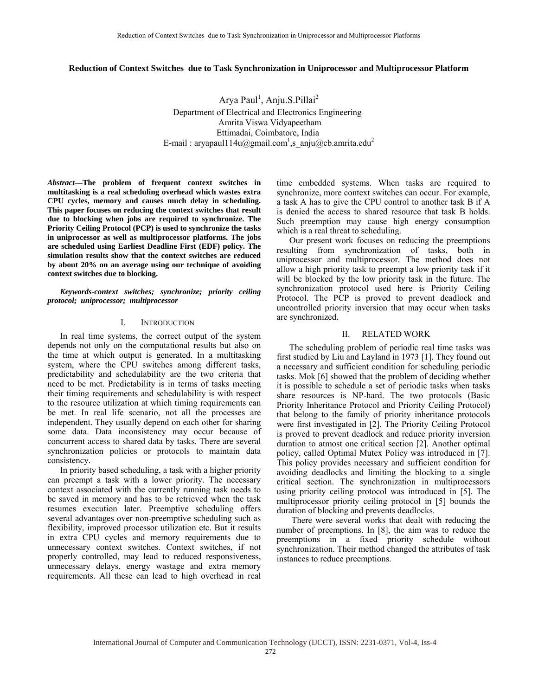## **Reduction of Context Switches due to Task Synchronization in Uniprocessor and Multiprocessor Platform**

Arya Paul<sup>1</sup>, Anju.S.Pillai<sup>2</sup> Department of Electrical and Electronics Engineering Amrita Viswa Vidyapeetham Ettimadai, Coimbatore, India E-mail : aryapaul114u@gmail.com<sup>1</sup>,s\_anju@cb.amrita.edu<sup>2</sup>

*Abstract***—The problem of frequent context switches in multitasking is a real scheduling overhead which wastes extra CPU cycles, memory and causes much delay in scheduling. This paper focuses on reducing the context switches that result due to blocking when jobs are required to synchronize. The Priority Ceiling Protocol (PCP) is used to synchronize the tasks in uniprocessor as well as multiprocessor platforms. The jobs are scheduled using Earliest Deadline First (EDF) policy. The simulation results show that the context switches are reduced by about 20% on an average using our technique of avoiding context switches due to blocking.** 

*Keywords-context switches; synchronize; priority ceiling protocol; uniprocessor; multiprocessor* 

## I. INTRODUCTION

In real time systems, the correct output of the system depends not only on the computational results but also on the time at which output is generated. In a multitasking system, where the CPU switches among different tasks, predictability and schedulability are the two criteria that need to be met. Predictability is in terms of tasks meeting their timing requirements and schedulability is with respect to the resource utilization at which timing requirements can be met. In real life scenario, not all the processes are independent. They usually depend on each other for sharing some data. Data inconsistency may occur because of concurrent access to shared data by tasks. There are several synchronization policies or protocols to maintain data consistency.

In priority based scheduling, a task with a higher priority can preempt a task with a lower priority. The necessary context associated with the currently running task needs to be saved in memory and has to be retrieved when the task resumes execution later. Preemptive scheduling offers several advantages over non-preemptive scheduling such as flexibility, improved processor utilization etc. But it results in extra CPU cycles and memory requirements due to unnecessary context switches. Context switches, if not properly controlled, may lead to reduced responsiveness, unnecessary delays, energy wastage and extra memory requirements. All these can lead to high overhead in real

time embedded systems. When tasks are required to synchronize, more context switches can occur. For example, a task A has to give the CPU control to another task B if A is denied the access to shared resource that task B holds. Such preemption may cause high energy consumption which is a real threat to scheduling.

Our present work focuses on reducing the preemptions resulting from synchronization of tasks, both in uniprocessor and multiprocessor. The method does not allow a high priority task to preempt a low priority task if it will be blocked by the low priority task in the future. The synchronization protocol used here is Priority Ceiling Protocol. The PCP is proved to prevent deadlock and uncontrolled priority inversion that may occur when tasks are synchronized.

### II. RELATED WORK

The scheduling problem of periodic real time tasks was first studied by Liu and Layland in 1973 [1]. They found out a necessary and sufficient condition for scheduling periodic tasks. Mok [6] showed that the problem of deciding whether it is possible to schedule a set of periodic tasks when tasks share resources is NP-hard. The two protocols (Basic Priority Inheritance Protocol and Priority Ceiling Protocol) that belong to the family of priority inheritance protocols were first investigated in [2]. The Priority Ceiling Protocol is proved to prevent deadlock and reduce priority inversion duration to atmost one critical section [2]. Another optimal policy, called Optimal Mutex Policy was introduced in [7]. This policy provides necessary and sufficient condition for avoiding deadlocks and limiting the blocking to a single critical section. The synchronization in multiprocessors using priority ceiling protocol was introduced in [5]. The multiprocessor priority ceiling protocol in [5] bounds the duration of blocking and prevents deadlocks.

 There were several works that dealt with reducing the number of preemptions. In [8], the aim was to reduce the preemptions in a fixed priority schedule without synchronization. Their method changed the attributes of task instances to reduce preemptions.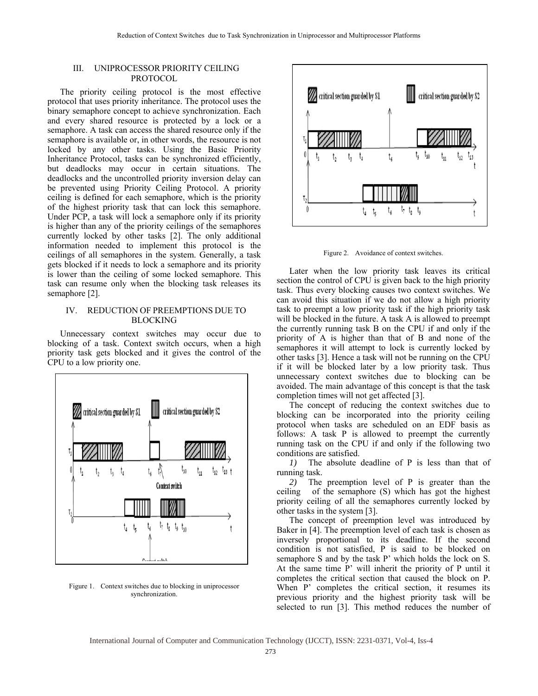## III. UNIPROCESSOR PRIORITY CEILING PROTOCOL

The priority ceiling protocol is the most effective protocol that uses priority inheritance. The protocol uses the binary semaphore concept to achieve synchronization. Each and every shared resource is protected by a lock or a semaphore. A task can access the shared resource only if the semaphore is available or, in other words, the resource is not locked by any other tasks. Using the Basic Priority Inheritance Protocol, tasks can be synchronized efficiently, but deadlocks may occur in certain situations. The deadlocks and the uncontrolled priority inversion delay can be prevented using Priority Ceiling Protocol. A priority ceiling is defined for each semaphore, which is the priority of the highest priority task that can lock this semaphore. Under PCP, a task will lock a semaphore only if its priority is higher than any of the priority ceilings of the semaphores currently locked by other tasks [2]. The only additional information needed to implement this protocol is the ceilings of all semaphores in the system. Generally, a task gets blocked if it needs to lock a semaphore and its priority is lower than the ceiling of some locked semaphore. This task can resume only when the blocking task releases its semaphore [2].

## IV. REDUCTION OF PREEMPTIONS DUE TO BLOCKING

Unnecessary context switches may occur due to blocking of a task. Context switch occurs, when a high priority task gets blocked and it gives the control of the CPU to a low priority one.



Figure 1. Context switches due to blocking in uniprocessor synchronization.



Figure 2. Avoidance of context switches.

Later when the low priority task leaves its critical section the control of CPU is given back to the high priority task. Thus every blocking causes two context switches. We can avoid this situation if we do not allow a high priority task to preempt a low priority task if the high priority task will be blocked in the future. A task A is allowed to preempt the currently running task B on the CPU if and only if the priority of A is higher than that of B and none of the semaphores it will attempt to lock is currently locked by other tasks [3]. Hence a task will not be running on the CPU if it will be blocked later by a low priority task. Thus unnecessary context switches due to blocking can be avoided. The main advantage of this concept is that the task completion times will not get affected [3].

The concept of reducing the context switches due to blocking can be incorporated into the priority ceiling protocol when tasks are scheduled on an EDF basis as follows: A task P is allowed to preempt the currently running task on the CPU if and only if the following two conditions are satisfied.

*1)* The absolute deadline of P is less than that of running task.

*2)* The preemption level of P is greater than the ceiling of the semaphore (S) which has got the highest priority ceiling of all the semaphores currently locked by other tasks in the system [3].

The concept of preemption level was introduced by Baker in [4]. The preemption level of each task is chosen as inversely proportional to its deadline. If the second condition is not satisfied, P is said to be blocked on semaphore S and by the task P' which holds the lock on S. At the same time P' will inherit the priority of P until it completes the critical section that caused the block on P. When P' completes the critical section, it resumes its previous priority and the highest priority task will be selected to run [3]. This method reduces the number of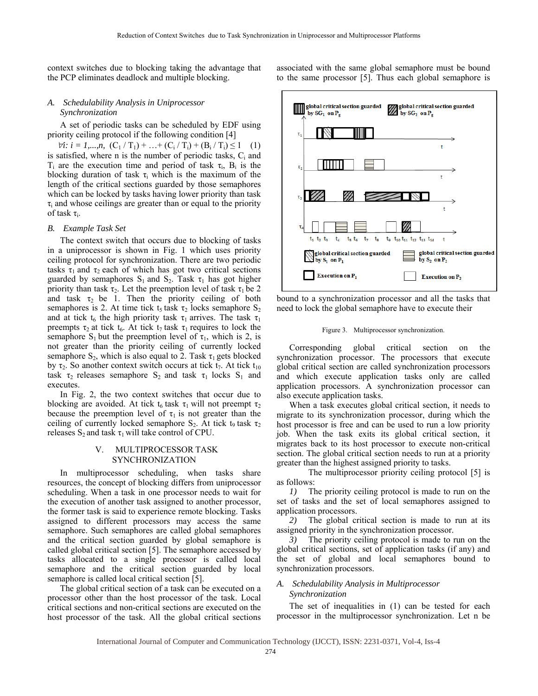context switches due to blocking taking the advantage that the PCP eliminates deadlock and multiple blocking.

## *A. Schedulability Analysis in Uniprocessor Synchronization*

A set of periodic tasks can be scheduled by EDF using priority ceiling protocol if the following condition [4]

 $∀i: i = 1,...,n$ ,  $(C_1 / T_1) + ... + (C_i / T_i) + (B_i / T_i) \le 1$  (1) is satisfied, where  $n$  is the number of periodic tasks,  $C_i$  and T<sub>i</sub> are the execution time and period of task  $\tau_i$ , B<sub>i</sub> is the blocking duration of task  $\tau_i$  which is the maximum of the length of the critical sections guarded by those semaphores which can be locked by tasks having lower priority than task  $\tau_i$  and whose ceilings are greater than or equal to the priority of task  $\tau_i$ .

#### *B. Example Task Set*

The context switch that occurs due to blocking of tasks in a uniprocessor is shown in Fig. 1 which uses priority ceiling protocol for synchronization. There are two periodic tasks  $\tau_1$  and  $\tau_2$  each of which has got two critical sections guarded by semaphores  $S_1$  and  $S_2$ . Task  $\tau_1$  has got higher priority than task  $\tau_2$ . Let the preemption level of task  $\tau_1$  be 2 and task  $\tau_2$  be 1. Then the priority ceiling of both semaphores is 2. At time tick  $t_5$  task  $\tau_2$  locks semaphore  $S_2$ and at tick t<sub>6</sub> the high priority task  $\tau_1$  arrives. The task  $\tau_1$ preempts  $\tau_2$  at tick  $t_6$ . At tick  $t_7$  task  $\tau_1$  requires to lock the semaphore  $S_1$  but the preemption level of  $\tau_1$ , which is 2, is not greater than the priority ceiling of currently locked semaphore  $S_2$ , which is also equal to 2. Task  $\tau_1$  gets blocked by  $\tau_2$ . So another context switch occurs at tick  $t_7$ . At tick  $t_{10}$ task  $\tau_2$  releases semaphore S<sub>2</sub> and task  $\tau_1$  locks S<sub>1</sub> and executes.

In Fig. 2, the two context switches that occur due to blocking are avoided. At tick t<sub>6</sub> task  $\tau_1$  will not preempt  $\tau_2$ because the preemption level of  $\tau_1$  is not greater than the ceiling of currently locked semaphore  $S_2$ . At tick t<sub>9</sub> task  $\tau_2$ releases  $S_2$  and task  $\tau_1$  will take control of CPU.

### V. MULTIPROCESSOR TASK SYNCHRONIZATION

In multiprocessor scheduling, when tasks share resources, the concept of blocking differs from uniprocessor scheduling. When a task in one processor needs to wait for the execution of another task assigned to another processor, the former task is said to experience remote blocking. Tasks assigned to different processors may access the same semaphore. Such semaphores are called global semaphores and the critical section guarded by global semaphore is called global critical section [5]. The semaphore accessed by tasks allocated to a single processor is called local semaphore and the critical section guarded by local semaphore is called local critical section [5].

The global critical section of a task can be executed on a processor other than the host processor of the task. Local critical sections and non-critical sections are executed on the host processor of the task. All the global critical sections associated with the same global semaphore must be bound to the same processor [5]. Thus each global semaphore is



bound to a synchronization processor and all the tasks that need to lock the global semaphore have to execute their

#### Figure 3. Multiprocessor synchronization.

Corresponding global critical section on the synchronization processor. The processors that execute global critical section are called synchronization processors and which execute application tasks only are called application processors. A synchronization processor can also execute application tasks.

When a task executes global critical section, it needs to migrate to its synchronization processor, during which the host processor is free and can be used to run a low priority job. When the task exits its global critical section, it migrates back to its host processor to execute non-critical section. The global critical section needs to run at a priority greater than the highest assigned priority to tasks.

 The multiprocessor priority ceiling protocol [5] is as follows:

*1)* The priority ceiling protocol is made to run on the set of tasks and the set of local semaphores assigned to application processors.

*2)* The global critical section is made to run at its assigned priority in the synchronization processor.

*3)* The priority ceiling protocol is made to run on the global critical sections, set of application tasks (if any) and the set of global and local semaphores bound to synchronization processors.

#### *A. Schedulability Analysis in Multiprocessor Synchronization*

The set of inequalities in (1) can be tested for each processor in the multiprocessor synchronization. Let n be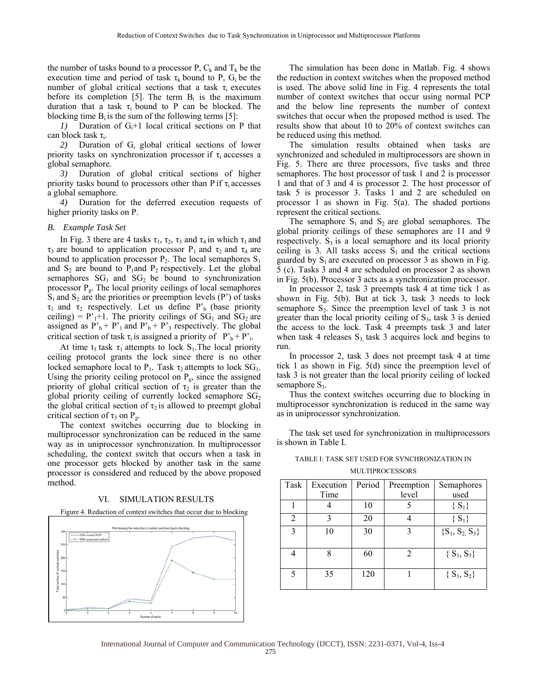the number of tasks bound to a processor P,  $C_k$  and  $T_k$  be the execution time and period of task  $\tau_k$  bound to P, G<sub>i</sub> be the number of global critical sections that a task  $\tau_i$  executes before its completion [5]. The term  $B_i$  is the maximum duration that a task  $\tau_i$  bound to P can be blocked. The blocking time  $B_i$  is the sum of the following terms [5]:

*1*) Duration of  $G_i+1$  local critical sections on P that can block task  $\tau_i$ .

*2)* Duration of Gi global critical sections of lower priority tasks on synchronization processor if  $\tau$ <sub>i</sub> accesses a global semaphore.

*3)* Duration of global critical sections of higher priority tasks bound to processors other than P if  $\tau$  accesses a global semaphore.

*4)* Duration for the deferred execution requests of higher priority tasks on P.

#### *B. Example Task Set*

In Fig. 3 there are 4 tasks  $\tau_1$ ,  $\tau_2$ ,  $\tau_3$  and  $\tau_4$  in which  $\tau_1$  and  $\tau_3$  are bound to application processor P<sub>1</sub> and  $\tau_2$  and  $\tau_4$  are bound to application processor  $P_2$ . The local semaphores  $S_1$ and  $S_2$  are bound to  $P_1$ and  $P_2$  respectively. Let the global semaphores  $SG<sub>1</sub>$  and  $SG<sub>2</sub>$  be bound to synchronization processor Pg. The local priority ceilings of local semaphores  $S_1$  and  $S_2$  are the priorities or preemption levels (P') of tasks  $\tau_1$  and  $\tau_2$  respectively. Let us define P'<sub>b</sub> (base priority ceiling) =  $P'_{1+}1$ . The priority ceilings of SG<sub>1</sub> and SG<sub>2</sub> are assigned as  $P_b' + P'_1$  and  $P'_b + P'_3$  respectively. The global critical section of task  $\tau_i$  is assigned a priority of  $P_b^+ + P_i^+$ .

At time t<sub>3</sub> task  $\tau_1$  attempts to lock S<sub>1</sub>. The local priority ceiling protocol grants the lock since there is no other locked semaphore local to  $P_1$ . Task  $\tau_2$  attempts to lock  $SG_1$ . Using the priority ceiling protocol on  $P_g$ , since the assigned priority of global critical section of  $\tau_2$  is greater than the global priority ceiling of currently locked semaphore  $SG<sub>2</sub>$ the global critical section of  $\tau_2$  is allowed to preempt global critical section of  $\tau_3$  on  $P_g$ .

The context switches occurring due to blocking in multiprocessor synchronization can be reduced in the same way as in uniprocessor synchronization. In multiprocessor scheduling, the context switch that occurs when a task in one processor gets blocked by another task in the same processor is considered and reduced by the above proposed method.

## VI. SIMULATION RESULTS

Figure 4. Reduction of context switches that occur due to blocking



The simulation has been done in Matlab. Fig. 4 shows the reduction in context switches when the proposed method is used. The above solid line in Fig. 4 represents the total number of context switches that occur using normal PCP and the below line represents the number of context switches that occur when the proposed method is used. The results show that about 10 to 20% of context switches can be reduced using this method.

The simulation results obtained when tasks are synchronized and scheduled in multiprocessors are shown in Fig. 5. There are three processors, five tasks and three semaphores. The host processor of task 1 and 2 is processor 1 and that of 3 and 4 is processor 2. The host processor of task 5 is processor 3. Tasks 1 and 2 are scheduled on processor 1 as shown in Fig. 5(a). The shaded portions represent the critical sections.

The semaphore  $S_1$  and  $S_2$  are global semaphores. The global priority ceilings of these semaphores are 11 and 9 respectively.  $S_3$  is a local semaphore and its local priority ceiling is 3. All tasks access  $S_1$  and the critical sections guarded by  $S_1$  are executed on processor 3 as shown in Fig. 5 (c). Tasks 3 and 4 are scheduled on processor 2 as shown in Fig. 5(b). Processor 3 acts as a synchronization processor.

In processor 2, task 3 preempts task 4 at time tick 1 as shown in Fig. 5(b). But at tick 3, task 3 needs to lock semaphore  $S_2$ . Since the preemption level of task 3 is not greater than the local priority ceiling of  $S_3$ , task 3 is denied the access to the lock. Task 4 preempts task 3 and later when task 4 releases  $S_3$  task 3 acquires lock and begins to run.

In processor 2, task 3 does not preempt task 4 at time tick 1 as shown in Fig. 5(d) since the preemption level of task 3 is not greater than the local priority ceiling of locked semaphore  $S_3$ .

Thus the context switches occurring due to blocking in multiprocessor synchronization is reduced in the same way as in uniprocessor synchronization.

The task set used for synchronization in multiprocessors is shown in Table I.

| TABLE I: TASK SET USED FOR SYNCHRONIZATION IN |  |  |  |  |  |
|-----------------------------------------------|--|--|--|--|--|
| MULTIPROCESSORS                               |  |  |  |  |  |

| Task           | Execution<br>Time | Period | Preemption<br>level         | Semaphores<br>used |
|----------------|-------------------|--------|-----------------------------|--------------------|
|                |                   | 10     |                             | $\{S_1\}$          |
| $\overline{c}$ | 3                 | 20     |                             | $\{S_1\}$          |
| 3              | 10                | 30     | 3                           | ${S_1, S_2, S_3}$  |
|                | 8                 | 60     | $\mathcal{D}_{\mathcal{A}}$ | ${S_1, S_3}$       |
| 5              | 35                | 120    |                             | $\{S_1, S_2\}$     |

275 International Journal of Computer and Communication Technology (IJCCT), ISSN: 2231-0371, Vol-4, Iss-4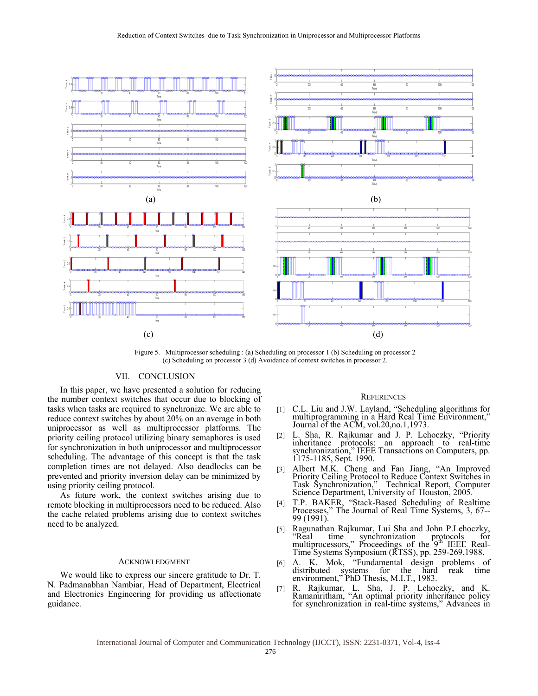

Figure 5. Multiprocessor scheduling : (a) Scheduling on processor 1 (b) Scheduling on processor 2 (c) Scheduling on processor 3 (d) Avoidance of context switches in processor 2.

## VII. CONCLUSION

In this paper, we have presented a solution for reducing the number context switches that occur due to blocking of tasks when tasks are required to synchronize. We are able to reduce context switches by about 20% on an average in both uniprocessor as well as multiprocessor platforms. The priority ceiling protocol utilizing binary semaphores is used for synchronization in both uniprocessor and multiprocessor scheduling. The advantage of this concept is that the task completion times are not delayed. Also deadlocks can be prevented and priority inversion delay can be minimized by using priority ceiling protocol.

As future work, the context switches arising due to remote blocking in multiprocessors need to be reduced. Also the cache related problems arising due to context switches need to be analyzed.

#### ACKNOWLEDGMENT

We would like to express our sincere gratitude to Dr. T. N. Padmanabhan Nambiar, Head of Department, Electrical and Electronics Engineering for providing us affectionate guidance.

#### **REFERENCES**

- [1] C.L. Liu and J.W. Layland, "Scheduling algorithms for multiprogramming in a Hard Real Time Environment," Journal of the ACM, vol.20,no.1,1973.
- [2] L. Sha, R. Rajkumar and J. P. Lehoczky, "Priority inheritance protocols: an approach to real-time synchronization," IEEE Transactions on Computers, pp. 1175-1185, Sept. 1990.
- [3] Albert M.K. Cheng and Fan Jiang, "An Improved Priority Ceiling Protocol to Reduce Context Switches in Task Synchronization," Technical Report, Computer Science Department, University of Houston, 2005.
- [4] T.P. BAKER, "Stack-Based Scheduling of Realtime Processes," The Journal of Real Time Systems, 3, 67-- 99 (1991).
- [5] Ragunathan Rajkumar, Lui Sha and John P.Lehoczky, "Real time synchronization protocols for<br>multiprocessors," Proceedings of the 9<sup>th</sup> IEEE Real-Time Systems Symposium (RTSS), pp. 259-269,1988.
- [6] A. K. Mok, "Fundamental design problems of distributed systems for the hard reak time environment," PhD Thesis, M.I.T., 1983.
- [7] R. Rajkumar, L. Sha, J. P. Lehoczky, and K. Ramamritham, "An optimal priority inheritance policy for synchronization in real-time systems," Advances in